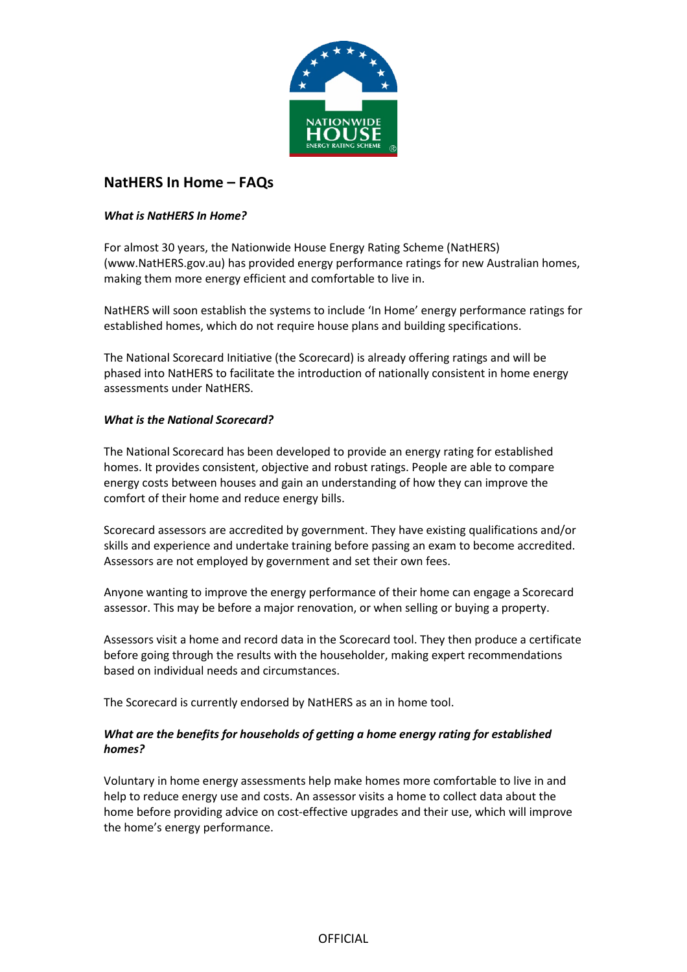

# **NatHERS In Home – FAQs**

## *What is NatHERS In Home?*

For almost 30 years, the Nationwide House Energy Rating Scheme (NatHERS) (www.NatHERS.gov.au) has provided energy performance ratings for new Australian homes, making them more energy efficient and comfortable to live in.

NatHERS will soon establish the systems to include 'In Home' energy performance ratings for established homes, which do not require house plans and building specifications.

The National Scorecard Initiative (the Scorecard) is already offering ratings and will be phased into NatHERS to facilitate the introduction of nationally consistent in home energy assessments under NatHERS.

## *What is the National Scorecard?*

The National Scorecard has been developed to provide an energy rating for established homes. It provides consistent, objective and robust ratings. People are able to compare energy costs between houses and gain an understanding of how they can improve the comfort of their home and reduce energy bills.

Scorecard assessors are accredited by government. They have existing qualifications and/or skills and experience and undertake training before passing an exam to become accredited. Assessors are not employed by government and set their own fees.

Anyone wanting to improve the energy performance of their home can engage a Scorecard assessor. This may be before a major renovation, or when selling or buying a property.

Assessors visit a home and record data in the Scorecard tool. They then produce a certificate before going through the results with the householder, making expert recommendations based on individual needs and circumstances.

The Scorecard is currently endorsed by NatHERS as an in home tool.

# *What are the benefits for households of getting a home energy rating for established homes?*

Voluntary in home energy assessments help make homes more comfortable to live in and help to reduce energy use and costs. An assessor visits a home to collect data about the home before providing advice on cost-effective upgrades and their use, which will improve the home's energy performance.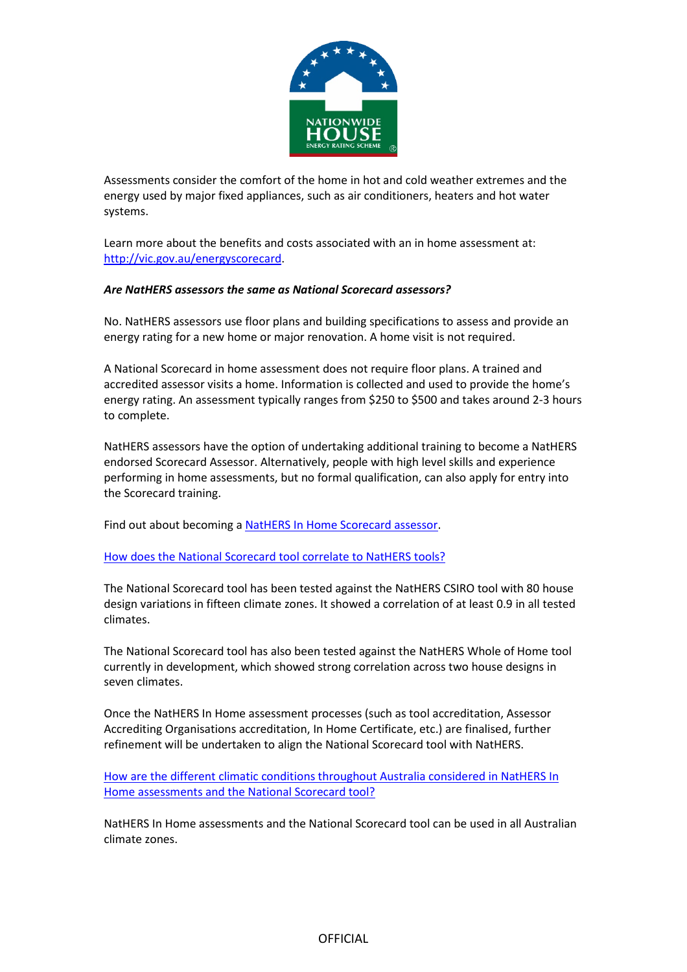

Assessments consider the comfort of the home in hot and cold weather extremes and the energy used by major fixed appliances, such as air conditioners, heaters and hot water systems.

Learn more about the benefits and costs associated with an in home assessment at: [http://vic.gov.au/energyscorecard.](http://vic.gov.au/energyscorecard)

#### *Are NatHERS assessors the same as National Scorecard assessors?*

No. NatHERS assessors use floor plans and building specifications to assess and provide an energy rating for a new home or major renovation. A home visit is not required.

A National Scorecard in home assessment does not require floor plans. A trained and accredited assessor visits a home. Information is collected and used to provide the home's energy rating. An assessment typically ranges from \$250 to \$500 and takes around 2-3 hours to complete.

NatHERS assessors have the option of undertaking additional training to become a NatHERS endorsed Scorecard Assessor. Alternatively, people with high level skills and experience performing in home assessments, but no formal qualification, can also apply for entry into the Scorecard training.

Find out about becoming a [NatHERS In Home Scorecard assessor.](https://www.victorianenergysaver.vic.gov.au/save-energy-and-money/get-a-home-energy-assessment/deliver-assessments)

#### [How does the National Scorecard tool correlate to NatHERS tools?](https://www.nathers.gov.au/resources/faqs#accordion-30)

The National Scorecard tool has been tested against the NatHERS CSIRO tool with 80 house design variations in fifteen climate zones. It showed a correlation of at least 0.9 in all tested climates.

The National Scorecard tool has also been tested against the NatHERS Whole of Home tool currently in development, which showed strong correlation across two house designs in seven climates.

Once the NatHERS In Home assessment processes (such as tool accreditation, Assessor Accrediting Organisations accreditation, In Home Certificate, etc.) are finalised, further refinement will be undertaken to align the National Scorecard tool with NatHERS.

[How are the different climatic conditions throughout](https://www.nathers.gov.au/resources/faqs#accordion-31) Australia considered in NatHERS In [Home assessments and the National Scorecard tool?](https://www.nathers.gov.au/resources/faqs#accordion-31)

NatHERS In Home assessments and the National Scorecard tool can be used in all Australian climate zones.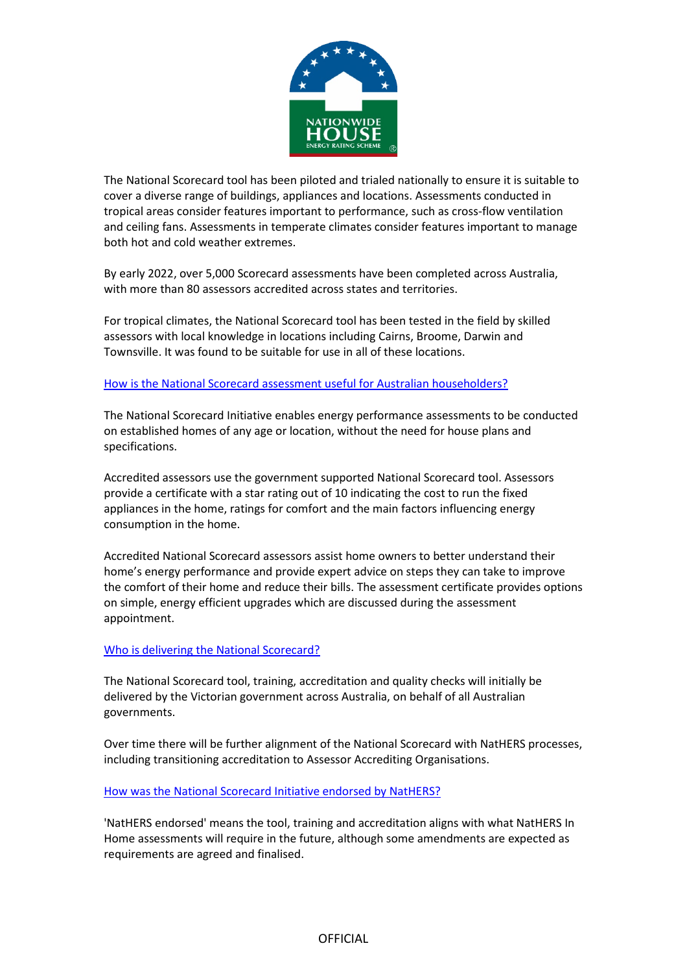

The National Scorecard tool has been piloted and trialed nationally to ensure it is suitable to cover a diverse range of buildings, appliances and locations. Assessments conducted in tropical areas consider features important to performance, such as cross-flow ventilation and ceiling fans. Assessments in temperate climates consider features important to manage both hot and cold weather extremes.

By early 2022, over 5,000 Scorecard assessments have been completed across Australia, with more than 80 assessors accredited across states and territories.

For tropical climates, the National Scorecard tool has been tested in the field by skilled assessors with local knowledge in locations including Cairns, Broome, Darwin and Townsville. It was found to be suitable for use in all of these locations.

#### [How is the National Scorecard assessment useful for Australian householders?](https://www.nathers.gov.au/resources/faqs#accordion-32)

The National Scorecard Initiative enables energy performance assessments to be conducted on established homes of any age or location, without the need for house plans and specifications.

Accredited assessors use the government supported National Scorecard tool. Assessors provide a certificate with a star rating out of 10 indicating the cost to run the fixed appliances in the home, ratings for comfort and the main factors influencing energy consumption in the home.

Accredited National Scorecard assessors assist home owners to better understand their home's energy performance and provide expert advice on steps they can take to improve the comfort of their home and reduce their bills. The assessment certificate provides options on simple, energy efficient upgrades which are discussed during the assessment appointment.

#### [Who is delivering the National Scorecard?](https://www.nathers.gov.au/resources/faqs#accordion-33)

The National Scorecard tool, training, accreditation and quality checks will initially be delivered by the Victorian government across Australia, on behalf of all Australian governments.

Over time there will be further alignment of the National Scorecard with NatHERS processes, including transitioning accreditation to Assessor Accrediting Organisations.

# [How was the National Scorecard](https://www.nathers.gov.au/resources/faqs#accordion-34) Initiative endorsed by NatHERS?

'NatHERS endorsed' means the tool, training and accreditation aligns with what NatHERS In Home assessments will require in the future, although some amendments are expected as requirements are agreed and finalised.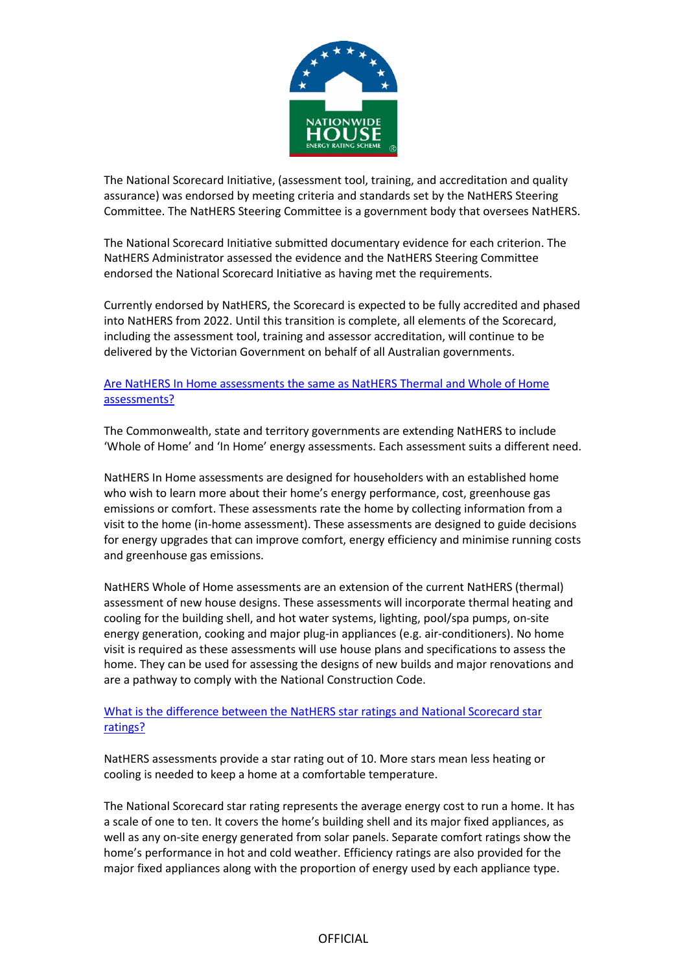

The National Scorecard Initiative, (assessment tool, training, and accreditation and quality assurance) was endorsed by meeting criteria and standards set by the NatHERS Steering Committee. The NatHERS Steering Committee is a government body that oversees NatHERS.

The National Scorecard Initiative submitted documentary evidence for each criterion. The NatHERS Administrator assessed the evidence and the NatHERS Steering Committee endorsed the National Scorecard Initiative as having met the requirements.

Currently endorsed by NatHERS, the Scorecard is expected to be fully accredited and phased into NatHERS from 2022. Until this transition is complete, all elements of the Scorecard, including the assessment tool, training and assessor accreditation, will continue to be delivered by the Victorian Government on behalf of all Australian governments.

## [Are NatHERS In Home assessments the same as NatHERS Thermal and Whole of Home](https://www.nathers.gov.au/resources/faqs#accordion-35)  [assessments?](https://www.nathers.gov.au/resources/faqs#accordion-35)

The Commonwealth, state and territory governments are extending NatHERS to include 'Whole of Home' and 'In Home' energy assessments. Each assessment suits a different need.

NatHERS In Home assessments are designed for householders with an established home who wish to learn more about their home's energy performance, cost, greenhouse gas emissions or comfort. These assessments rate the home by collecting information from a visit to the home (in-home assessment). These assessments are designed to guide decisions for energy upgrades that can improve comfort, energy efficiency and minimise running costs and greenhouse gas emissions.

NatHERS Whole of Home assessments are an extension of the current NatHERS (thermal) assessment of new house designs. These assessments will incorporate thermal heating and cooling for the building shell, and hot water systems, lighting, pool/spa pumps, on-site energy generation, cooking and major plug-in appliances (e.g. air-conditioners). No home visit is required as these assessments will use house plans and specifications to assess the home. They can be used for assessing the designs of new builds and major renovations and are a pathway to comply with the National Construction Code.

## [What is the difference between the NatHERS star ratings](https://www.nathers.gov.au/resources/faqs#accordion-36) and National Scorecard star [ratings?](https://www.nathers.gov.au/resources/faqs#accordion-36)

NatHERS assessments provide a star rating out of 10. More stars mean less heating or cooling is needed to keep a home at a comfortable temperature.

The National Scorecard star rating represents the average energy cost to run a home. It has a scale of one to ten. It covers the home's building shell and its major fixed appliances, as well as any on-site energy generated from solar panels. Separate comfort ratings show the home's performance in hot and cold weather. Efficiency ratings are also provided for the major fixed appliances along with the proportion of energy used by each appliance type.